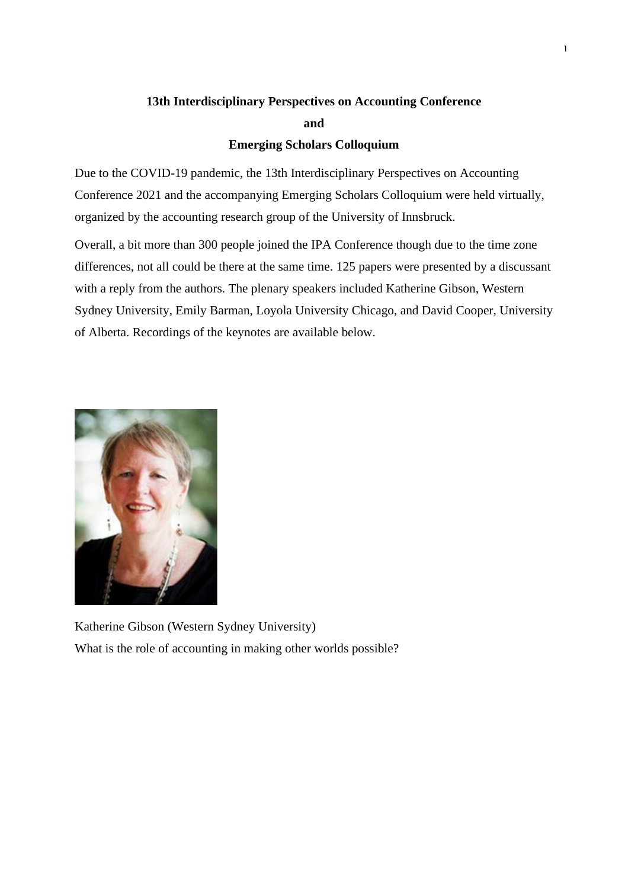# **13th Interdisciplinary Perspectives on Accounting Conference and**

## **Emerging Scholars Colloquium**

Due to the COVID-19 pandemic, the 13th Interdisciplinary Perspectives on Accounting Conference 2021 and the accompanying Emerging Scholars Colloquium were held virtually, organized by the accounting research group of the University of Innsbruck.

Overall, a bit more than 300 people joined the IPA Conference though due to the time zone differences, not all could be there at the same time. 125 papers were presented by a discussant with a reply from the authors. The plenary speakers included Katherine Gibson, Western Sydney University, Emily Barman, Loyola University Chicago, and David Cooper, University of Alberta. Recordings of the keynotes are available below.



Katherine Gibson (Western Sydney University) What is the role of accounting in making other worlds possible?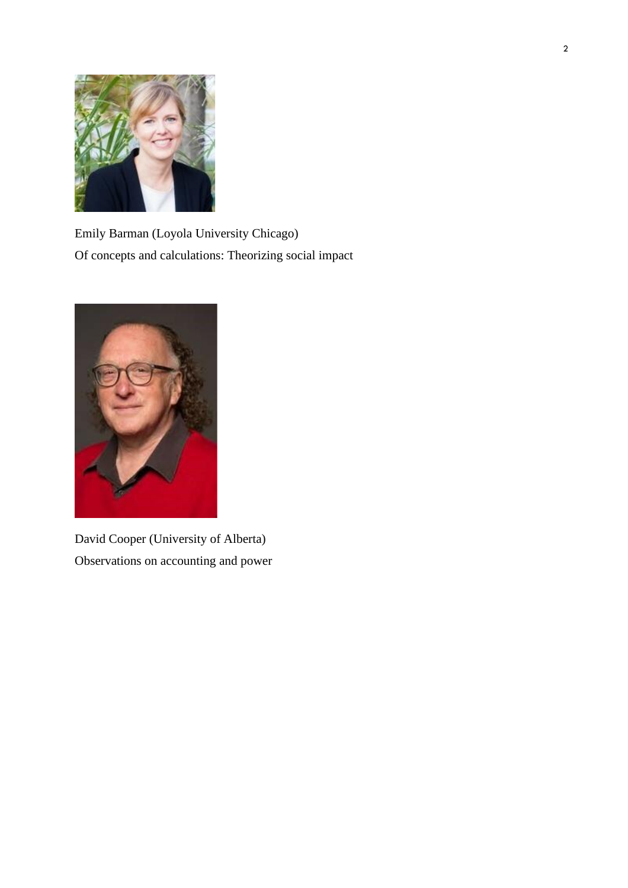

Emily Barman (Loyola University Chicago) Of concepts and calculations: Theorizing social impact



David Cooper (University of Alberta) Observations on accounting and power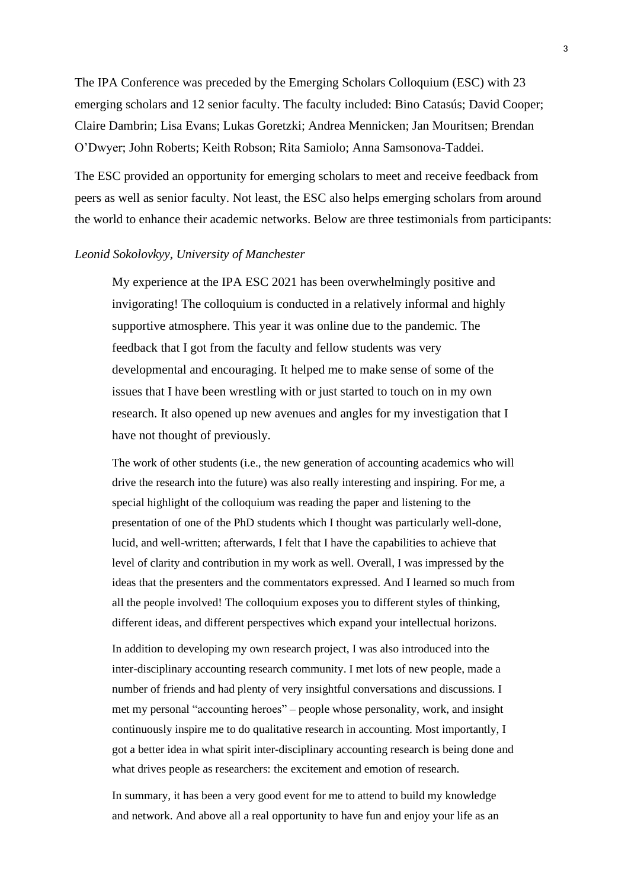The IPA Conference was preceded by the Emerging Scholars Colloquium (ESC) with 23 emerging scholars and 12 senior faculty. The faculty included: Bino Catasús; David Cooper; Claire Dambrin; Lisa Evans; Lukas Goretzki; Andrea Mennicken; Jan Mouritsen; Brendan O'Dwyer; John Roberts; Keith Robson; Rita Samiolo; Anna Samsonova-Taddei.

The ESC provided an opportunity for emerging scholars to meet and receive feedback from peers as well as senior faculty. Not least, the ESC also helps emerging scholars from around the world to enhance their academic networks. Below are three testimonials from participants:

### *Leonid Sokolovkyy, University of Manchester*

My experience at the IPA ESC 2021 has been overwhelmingly positive and invigorating! The colloquium is conducted in a relatively informal and highly supportive atmosphere. This year it was online due to the pandemic. The feedback that I got from the faculty and fellow students was very developmental and encouraging. It helped me to make sense of some of the issues that I have been wrestling with or just started to touch on in my own research. It also opened up new avenues and angles for my investigation that I have not thought of previously.

The work of other students (i.e., the new generation of accounting academics who will drive the research into the future) was also really interesting and inspiring. For me, a special highlight of the colloquium was reading the paper and listening to the presentation of one of the PhD students which I thought was particularly well-done, lucid, and well-written; afterwards, I felt that I have the capabilities to achieve that level of clarity and contribution in my work as well. Overall, I was impressed by the ideas that the presenters and the commentators expressed. And I learned so much from all the people involved! The colloquium exposes you to different styles of thinking, different ideas, and different perspectives which expand your intellectual horizons.

In addition to developing my own research project, I was also introduced into the inter-disciplinary accounting research community. I met lots of new people, made a number of friends and had plenty of very insightful conversations and discussions. I met my personal "accounting heroes" – people whose personality, work, and insight continuously inspire me to do qualitative research in accounting. Most importantly, I got a better idea in what spirit inter-disciplinary accounting research is being done and what drives people as researchers: the excitement and emotion of research.

In summary, it has been a very good event for me to attend to build my knowledge and network. And above all a real opportunity to have fun and enjoy your life as an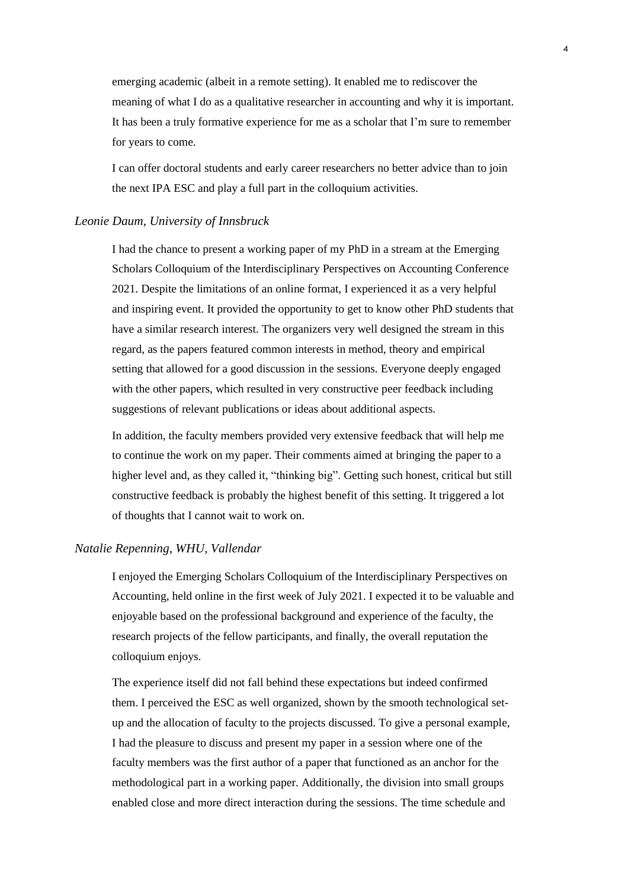emerging academic (albeit in a remote setting). It enabled me to rediscover the meaning of what I do as a qualitative researcher in accounting and why it is important. It has been a truly formative experience for me as a scholar that I'm sure to remember for years to come.

I can offer doctoral students and early career researchers no better advice than to join the next IPA ESC and play a full part in the colloquium activities.

#### *Leonie Daum, University of Innsbruck*

I had the chance to present a working paper of my PhD in a stream at the Emerging Scholars Colloquium of the Interdisciplinary Perspectives on Accounting Conference 2021. Despite the limitations of an online format, I experienced it as a very helpful and inspiring event. It provided the opportunity to get to know other PhD students that have a similar research interest. The organizers very well designed the stream in this regard, as the papers featured common interests in method, theory and empirical setting that allowed for a good discussion in the sessions. Everyone deeply engaged with the other papers, which resulted in very constructive peer feedback including suggestions of relevant publications or ideas about additional aspects.

In addition, the faculty members provided very extensive feedback that will help me to continue the work on my paper. Their comments aimed at bringing the paper to a higher level and, as they called it, "thinking big". Getting such honest, critical but still constructive feedback is probably the highest benefit of this setting. It triggered a lot of thoughts that I cannot wait to work on.

#### *Natalie Repenning, WHU, Vallendar*

I enjoyed the Emerging Scholars Colloquium of the Interdisciplinary Perspectives on Accounting, held online in the first week of July 2021. I expected it to be valuable and enjoyable based on the professional background and experience of the faculty, the research projects of the fellow participants, and finally, the overall reputation the colloquium enjoys.

The experience itself did not fall behind these expectations but indeed confirmed them. I perceived the ESC as well organized, shown by the smooth technological setup and the allocation of faculty to the projects discussed. To give a personal example, I had the pleasure to discuss and present my paper in a session where one of the faculty members was the first author of a paper that functioned as an anchor for the methodological part in a working paper. Additionally, the division into small groups enabled close and more direct interaction during the sessions. The time schedule and